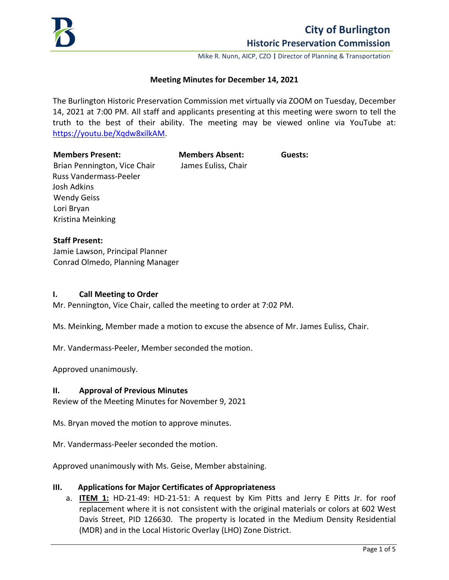

Mike R. Nunn, AICP, CZO **|** Director of Planning & Transportation

## **Meeting Minutes for December 14, 2021**

The Burlington Historic Preservation Commission met virtually via ZOOM on Tuesday, December 14, 2021 at 7:00 PM. All staff and applicants presenting at this meeting were sworn to tell the truth to the best of their ability. The meeting may be viewed online via YouTube at: [https://youtu.be/Xqdw8xilkAM.](https://youtu.be/Xqdw8xilkAM)

#### **Members Present: Members Absent: Guests:**

Brian Pennington, Vice Chair James Euliss, Chair Russ Vandermass-Peeler Josh Adkins Wendy Geiss Lori Bryan Kristina Meinking

## **Staff Present:**

Jamie Lawson, Principal Planner Conrad Olmedo, Planning Manager

## **I. Call Meeting to Order**

Mr. Pennington, Vice Chair, called the meeting to order at 7:02 PM.

Ms. Meinking, Member made a motion to excuse the absence of Mr. James Euliss, Chair.

Mr. Vandermass-Peeler, Member seconded the motion.

Approved unanimously.

## **II. Approval of Previous Minutes**

Review of the Meeting Minutes for November 9, 2021

Ms. Bryan moved the motion to approve minutes.

Mr. Vandermass-Peeler seconded the motion.

Approved unanimously with Ms. Geise, Member abstaining.

## **III. Applications for Major Certificates of Appropriateness**

a. **ITEM 1:** HD-21-49: HD-21-51: A request by Kim Pitts and Jerry E Pitts Jr. for roof replacement where it is not consistent with the original materials or colors at 602 West Davis Street, PID 126630. The property is located in the Medium Density Residential (MDR) and in the Local Historic Overlay (LHO) Zone District.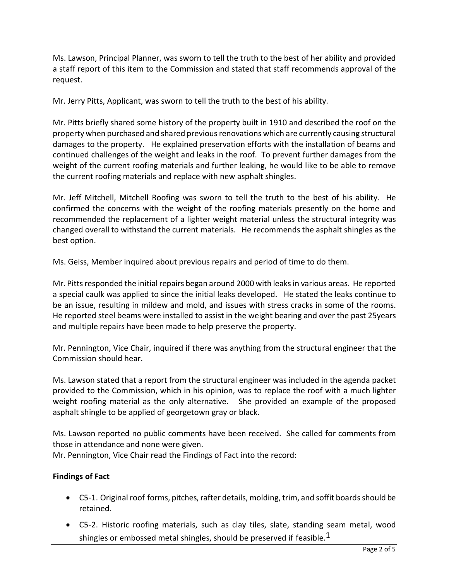Ms. Lawson, Principal Planner, was sworn to tell the truth to the best of her ability and provided a staff report of this item to the Commission and stated that staff recommends approval of the request.

Mr. Jerry Pitts, Applicant, was sworn to tell the truth to the best of his ability.

Mr. Pitts briefly shared some history of the property built in 1910 and described the roof on the property when purchased and shared previous renovations which are currently causing structural damages to the property. He explained preservation efforts with the installation of beams and continued challenges of the weight and leaks in the roof. To prevent further damages from the weight of the current roofing materials and further leaking, he would like to be able to remove the current roofing materials and replace with new asphalt shingles.

Mr. Jeff Mitchell, Mitchell Roofing was sworn to tell the truth to the best of his ability. He confirmed the concerns with the weight of the roofing materials presently on the home and recommended the replacement of a lighter weight material unless the structural integrity was changed overall to withstand the current materials. He recommends the asphalt shingles as the best option.

Ms. Geiss, Member inquired about previous repairs and period of time to do them.

Mr. Pitts responded the initial repairs began around 2000 with leaks in various areas. He reported a special caulk was applied to since the initial leaks developed. He stated the leaks continue to be an issue, resulting in mildew and mold, and issues with stress cracks in some of the rooms. He reported steel beams were installed to assist in the weight bearing and over the past 25years and multiple repairs have been made to help preserve the property.

Mr. Pennington, Vice Chair, inquired if there was anything from the structural engineer that the Commission should hear.

Ms. Lawson stated that a report from the structural engineer was included in the agenda packet provided to the Commission, which in his opinion, was to replace the roof with a much lighter weight roofing material as the only alternative. She provided an example of the proposed asphalt shingle to be applied of georgetown gray or black.

Ms. Lawson reported no public comments have been received. She called for comments from those in attendance and none were given.

Mr. Pennington, Vice Chair read the Findings of Fact into the record:

# **Findings of Fact**

- C5-1. Original roof forms, pitches, rafter details, molding, trim, and soffit boards should be retained.
- C5-2. Historic roofing materials, such as clay tiles, slate, standing seam metal, wood shingles or embossed metal shingles, should be preserved if feasible.<sup>1</sup>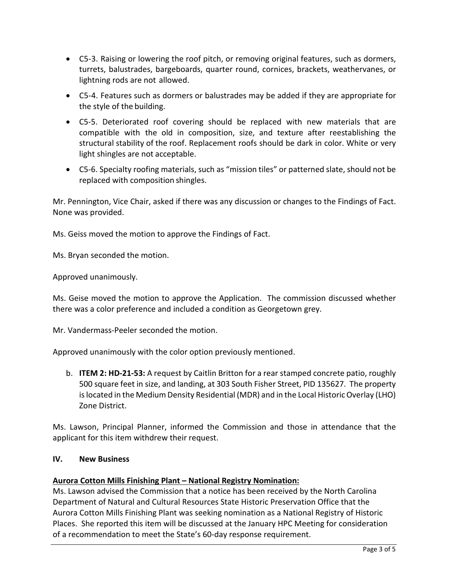- C5-3. Raising or lowering the roof pitch, or removing original features, such as dormers, turrets, balustrades, bargeboards, quarter round, cornices, brackets, weathervanes, or lightning rods are not allowed.
- C5-4. Features such as dormers or balustrades may be added if they are appropriate for the style of the building.
- C5-5. Deteriorated roof covering should be replaced with new materials that are compatible with the old in composition, size, and texture after reestablishing the structural stability of the roof. Replacement roofs should be dark in color. White or very light shingles are not acceptable.
- C5-6. Specialty roofing materials, such as "mission tiles" or patterned slate, should not be replaced with composition shingles.

Mr. Pennington, Vice Chair, asked if there was any discussion or changes to the Findings of Fact. None was provided.

Ms. Geiss moved the motion to approve the Findings of Fact.

Ms. Bryan seconded the motion.

Approved unanimously.

Ms. Geise moved the motion to approve the Application. The commission discussed whether there was a color preference and included a condition as Georgetown grey.

Mr. Vandermass-Peeler seconded the motion.

Approved unanimously with the color option previously mentioned.

b. **ITEM 2: HD-21-53:** A request by Caitlin Britton for a rear stamped concrete patio, roughly 500 square feet in size, and landing, at 303 South Fisher Street, PID 135627. The property is located in the Medium Density Residential (MDR) and in the Local Historic Overlay (LHO) Zone District.

Ms. Lawson, Principal Planner, informed the Commission and those in attendance that the applicant for this item withdrew their request.

## **IV. New Business**

## **Aurora Cotton Mills Finishing Plant – National Registry Nomination:**

Ms. Lawson advised the Commission that a notice has been received by the North Carolina Department of Natural and Cultural Resources State Historic Preservation Office that the Aurora Cotton Mills Finishing Plant was seeking nomination as a National Registry of Historic Places. She reported this item will be discussed at the January HPC Meeting for consideration of a recommendation to meet the State's 60-day response requirement.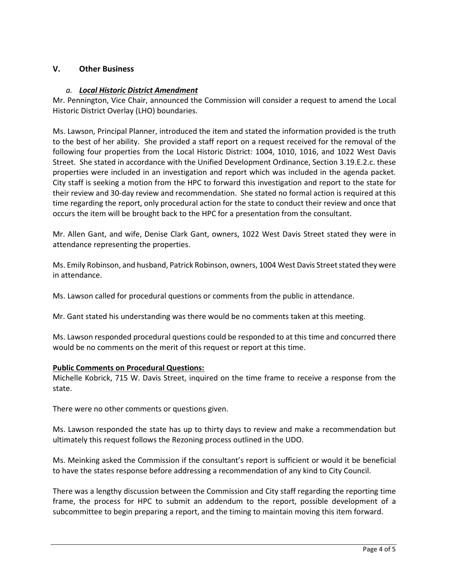# **V. Other Business**

# *a. Local Historic District Amendment*

Mr. Pennington, Vice Chair, announced the Commission will consider a request to amend the Local Historic District Overlay (LHO) boundaries.

Ms. Lawson, Principal Planner, introduced the item and stated the information provided is the truth to the best of her ability. She provided a staff report on a request received for the removal of the following four properties from the Local Historic District: 1004, 1010, 1016, and 1022 West Davis Street. She stated in accordance with the Unified Development Ordinance, Section 3.19.E.2.c. these properties were included in an investigation and report which was included in the agenda packet. City staff is seeking a motion from the HPC to forward this investigation and report to the state for their review and 30-day review and recommendation. She stated no formal action is required at this time regarding the report, only procedural action for the state to conduct their review and once that occurs the item will be brought back to the HPC for a presentation from the consultant.

Mr. Allen Gant, and wife, Denise Clark Gant, owners, 1022 West Davis Street stated they were in attendance representing the properties.

Ms. Emily Robinson, and husband, Patrick Robinson, owners, 1004 West Davis Street stated they were in attendance.

Ms. Lawson called for procedural questions or comments from the public in attendance.

Mr. Gant stated his understanding was there would be no comments taken at this meeting.

Ms. Lawson responded procedural questions could be responded to at this time and concurred there would be no comments on the merit of this request or report at this time.

## **Public Comments on Procedural Questions:**

Michelle Kobrick, 715 W. Davis Street, inquired on the time frame to receive a response from the state.

There were no other comments or questions given.

Ms. Lawson responded the state has up to thirty days to review and make a recommendation but ultimately this request follows the Rezoning process outlined in the UDO.

Ms. Meinking asked the Commission if the consultant's report is sufficient or would it be beneficial to have the states response before addressing a recommendation of any kind to City Council.

There was a lengthy discussion between the Commission and City staff regarding the reporting time frame, the process for HPC to submit an addendum to the report, possible development of a subcommittee to begin preparing a report, and the timing to maintain moving this item forward.